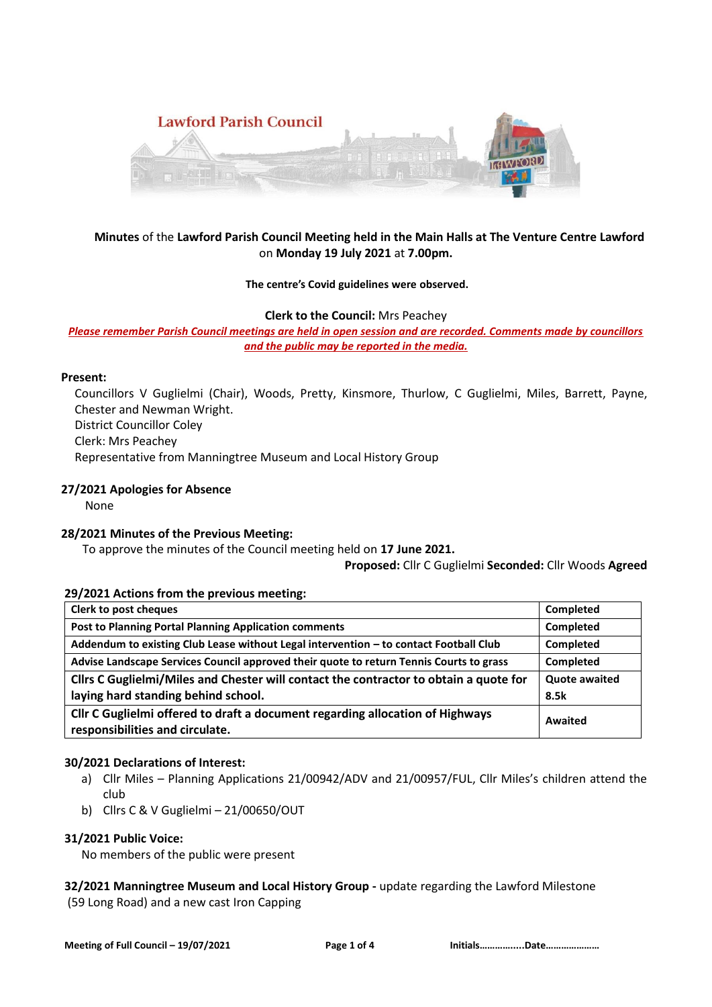

## **Minutes** of the **Lawford Parish Council Meeting held in the Main Halls at The Venture Centre Lawford**  on **Monday 19 July 2021** at **7.00pm.**

### **The centre's Covid guidelines were observed.**

**Clerk to the Council:** Mrs Peachey

*Please remember Parish Council meetings are held in open session and are recorded. Comments made by councillors and the public may be reported in the media.* 

### **Present:**

Councillors V Guglielmi (Chair), Woods, Pretty, Kinsmore, Thurlow, C Guglielmi, Miles, Barrett, Payne, Chester and Newman Wright. District Councillor Coley Clerk: Mrs Peachey Representative from Manningtree Museum and Local History Group

## **27/2021 Apologies for Absence**

None

## **28/2021 Minutes of the Previous Meeting:**

To approve the minutes of the Council meeting held on **17 June 2021.**

#### **Proposed:** Cllr C Guglielmi **Seconded:** Cllr Woods **Agreed**

## **29/2021 Actions from the previous meeting:**

| <b>Clerk to post cheques</b>                                                            | Completed            |
|-----------------------------------------------------------------------------------------|----------------------|
| <b>Post to Planning Portal Planning Application comments</b>                            | Completed            |
| Addendum to existing Club Lease without Legal intervention - to contact Football Club   | Completed            |
| Advise Landscape Services Council approved their quote to return Tennis Courts to grass | Completed            |
| Cllrs C Guglielmi/Miles and Chester will contact the contractor to obtain a quote for   | <b>Quote awaited</b> |
| laying hard standing behind school.                                                     | 8.5k                 |
| Cllr C Guglielmi offered to draft a document regarding allocation of Highways           | Awaited              |
| responsibilities and circulate.                                                         |                      |

## **30/2021 Declarations of Interest:**

- a) Cllr Miles Planning Applications 21/00942/ADV and 21/00957/FUL, Cllr Miles's children attend the club
- b) Cllrs C & V Guglielmi 21/00650/OUT

## **31/2021 Public Voice:**

No members of the public were present

**32/2021 Manningtree Museum and Local History Group -** update regarding the Lawford Milestone (59 Long Road) and a new cast Iron Capping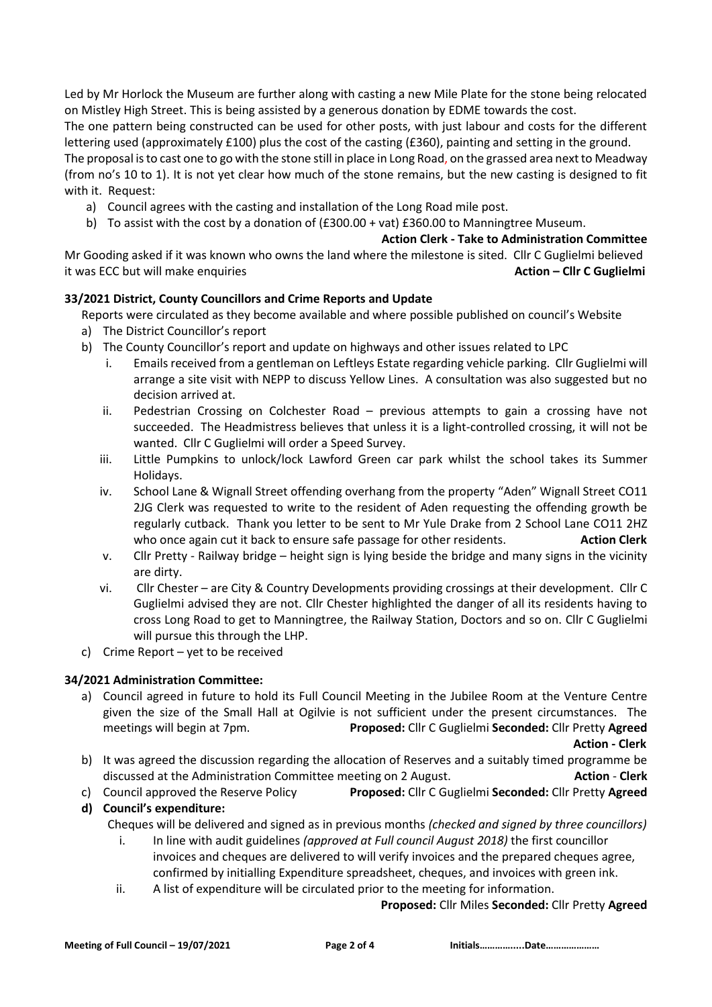Led by Mr Horlock the Museum are further along with casting a new Mile Plate for the stone being relocated on Mistley High Street. This is being assisted by a generous donation by EDME towards the cost.

The one pattern being constructed can be used for other posts, with just labour and costs for the different lettering used (approximately £100) plus the cost of the casting (£360), painting and setting in the ground.

The proposal is to cast one to go with the stone still in place in Long Road, on the grassed area next to Meadway (from no's 10 to 1). It is not yet clear how much of the stone remains, but the new casting is designed to fit with it. Request:

- a) Council agrees with the casting and installation of the Long Road mile post.
- b) To assist with the cost by a donation of (£300.00 + vat) £360.00 to Manningtree Museum.

**Action Clerk - Take to Administration Committee**

Mr Gooding asked if it was known who owns the land where the milestone is sited. Cllr C Guglielmi believed it was ECC but will make enquiries **Action – Cllr C Guglielmi**

## **33/2021 District, County Councillors and Crime Reports and Update**

Reports were circulated as they become available and where possible published on council's Website

- a) The District Councillor's report
- b) The County Councillor's report and update on highways and other issues related to LPC
	- i. Emails received from a gentleman on Leftleys Estate regarding vehicle parking. Cllr Guglielmi will arrange a site visit with NEPP to discuss Yellow Lines. A consultation was also suggested but no decision arrived at.
	- ii. Pedestrian Crossing on Colchester Road previous attempts to gain a crossing have not succeeded. The Headmistress believes that unless it is a light-controlled crossing, it will not be wanted. Cllr C Guglielmi will order a Speed Survey.
	- iii. Little Pumpkins to unlock/lock Lawford Green car park whilst the school takes its Summer Holidays.
	- iv. School Lane & Wignall Street offending overhang from the property "Aden" Wignall Street CO11 2JG Clerk was requested to write to the resident of Aden requesting the offending growth be regularly cutback. Thank you letter to be sent to Mr Yule Drake from 2 School Lane CO11 2HZ who once again cut it back to ensure safe passage for other residents. **Action Clerk**
	- v. Cllr Pretty Railway bridge height sign is lying beside the bridge and many signs in the vicinity are dirty.
	- vi. Cllr Chester are City & Country Developments providing crossings at their development. Cllr C Guglielmi advised they are not. Cllr Chester highlighted the danger of all its residents having to cross Long Road to get to Manningtree, the Railway Station, Doctors and so on. Cllr C Guglielmi will pursue this through the LHP.
- c) Crime Report yet to be received

## **34/2021 Administration Committee:**

a) Council agreed in future to hold its Full Council Meeting in the Jubilee Room at the Venture Centre given the size of the Small Hall at Ogilvie is not sufficient under the present circumstances. The meetings will begin at 7pm. **Proposed:** Cllr C Guglielmi **Seconded:** Cllr Pretty **Agreed**

 **Action - Clerk**

- b) It was agreed the discussion regarding the allocation of Reserves and a suitably timed programme be discussed at the Administration Committee meeting on 2 August. **Action** - **Clerk**
- c) Council approved the Reserve Policy **Proposed:** Cllr C Guglielmi **Seconded:** Cllr Pretty **Agreed**
- **d) Council's expenditure:**

Cheques will be delivered and signed as in previous months *(checked and signed by three councillors)* 

- i. In line with audit guidelines *(approved at Full council August 2018)* the first councillor invoices and cheques are delivered to will verify invoices and the prepared cheques agree, confirmed by initialling Expenditure spreadsheet, cheques, and invoices with green ink.
- ii. A list of expenditure will be circulated prior to the meeting for information.

## **Proposed:** Cllr Miles **Seconded:** Cllr Pretty **Agreed**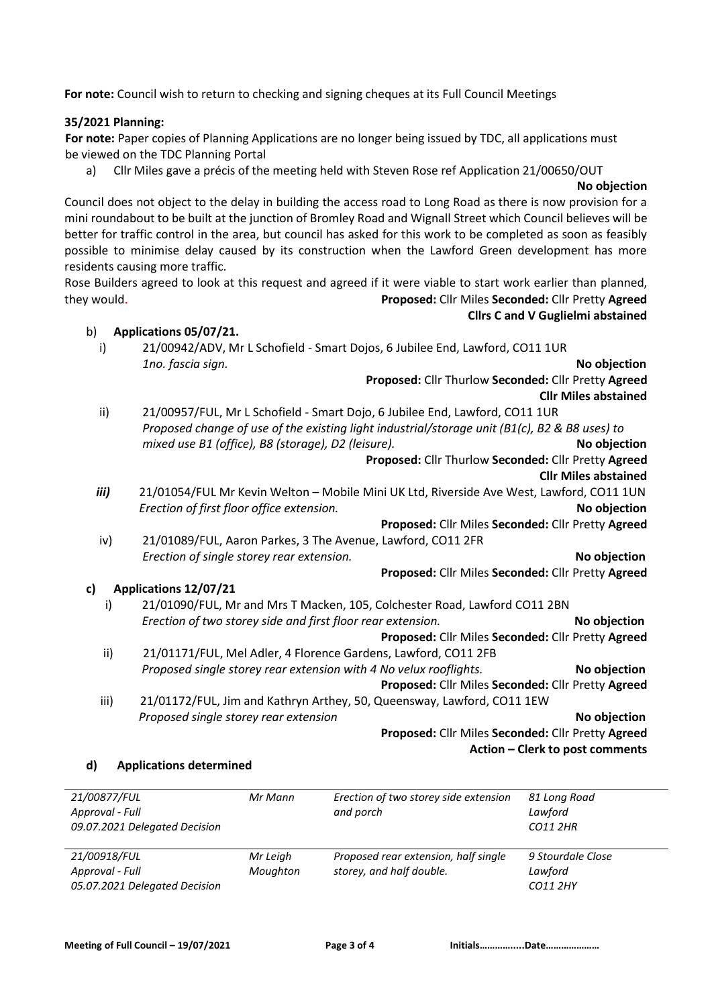**For note:** Council wish to return to checking and signing cheques at its Full Council Meetings

## **35/2021 Planning:**

 **For note:** Paper copies of Planning Applications are no longer being issued by TDC, all applications must be viewed on the TDC Planning Portal

a) Cllr Miles gave a précis of the meeting held with Steven Rose ref Application 21/00650/OUT

#### **No objection**

Council does not object to the delay in building the access road to Long Road as there is now provision for a mini roundabout to be built at the junction of Bromley Road and Wignall Street which Council believes will be better for traffic control in the area, but council has asked for this work to be completed as soon as feasibly possible to minimise delay caused by its construction when the Lawford Green development has more residents causing more traffic.

Rose Builders agreed to look at this request and agreed if it were viable to start work earlier than planned, they would. **Proposed:** Cllr Miles **Seconded:** Cllr Pretty **Agreed Cllrs C and V Guglielmi abstained**

### b) **Applications 05/07/21.**

i) 21/00942/ADV, Mr L Schofield - Smart Dojos, 6 Jubilee End, Lawford, CO11 1UR *1no. fascia sign.* **No objection**

**Proposed:** Cllr Thurlow **Seconded:** Cllr Pretty **Agreed**

**Cllr Miles abstained** ii) 21/00957/FUL, Mr L Schofield - Smart Dojo, 6 Jubilee End, Lawford, CO11 1UR *Proposed change of use of the existing light industrial/storage unit (B1(c), B2 & B8 uses) to mixed use B1 (office), B8 (storage), D2 (leisure).* **No objection**

# **Proposed:** Cllr Thurlow **Seconded:** Cllr Pretty **Agreed**

## **Cllr Miles abstained**

*iii)* 21/01054/FUL Mr Kevin Welton – Mobile Mini UK Ltd, Riverside Ave West, Lawford, CO11 1UN *Erection of first floor office extension.* **No objection**

**Proposed:** Cllr Miles **Seconded:** Cllr Pretty **Agreed**

iv) 21/01089/FUL, Aaron Parkes, 3 The Avenue, Lawford, CO11 2FR *Erection of single storey rear extension.* **No objection**

## **Proposed:** Cllr Miles **Seconded:** Cllr Pretty **Agreed**

## **c) Applications 12/07/21**

- i) 21/01090/FUL, Mr and Mrs T Macken, 105, Colchester Road, Lawford CO11 2BN  *Erection of two storey side and first floor rear extension.* **No objection** **Proposed:** Cllr Miles **Seconded:** Cllr Pretty **Agreed** ii) 21/01171/FUL, Mel Adler, 4 Florence Gardens, Lawford, CO11 2FB
- *Proposed single storey rear extension with 4 No velux rooflights.* No objection

**Proposed:** Cllr Miles **Seconded:** Cllr Pretty **Agreed**

 iii) 21/01172/FUL, Jim and Kathryn Arthey, 50, Queensway, Lawford, CO11 1EW  *Proposed single storey rear extension* **No objection**

**Proposed:** Cllr Miles **Seconded:** Cllr Pretty **Agreed Action – Clerk to post comments**

## **d) Applications determined**

| 21/00877/FUL<br>Approval - Full<br>09.07.2021 Delegated Decision | Mr Mann              | Erection of two storey side extension<br>and porch               | 81 Long Road<br>Lawford<br>CO11 2HR      |
|------------------------------------------------------------------|----------------------|------------------------------------------------------------------|------------------------------------------|
| 21/00918/FUL<br>Approval - Full<br>05.07.2021 Delegated Decision | Mr Leigh<br>Moughton | Proposed rear extension, half single<br>storey, and half double. | 9 Stourdale Close<br>Lawford<br>CO11 2HY |